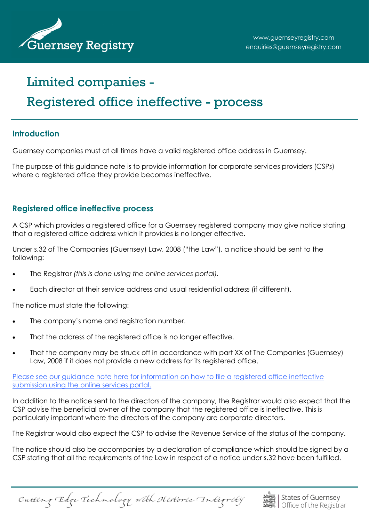

# Limited companies - Registered office ineffective - process

## **Introduction**

Guernsey companies must at all times have a valid registered office address in Guernsey.

The purpose of this guidance note is to provide information for corporate services providers (CSPs) where a reaistered office they provide becomes ineffective.

### **Registered office ineffective process**

A CSP which provides a registered office for a Guernsey registered company may give notice stating that a registered office address which it provides is no longer effective.

Under s.32 of The Companies (Guernsey) Law, 2008 ("the Law"), a notice should be sent to the following:

- The Registrar *(this is done using the online services portal).*
- Each director at their service address and usual residential address (if different).

The notice must state the following:

- The company's name and registration number.
- That the address of the registered office is no longer effective.
- That the company may be struck off in accordance with part XX of The Companies (Guernsey) Law, 2008 if it does not provide a new address for its registered office.

[Please see our guidance note here for information on how to file a registered office ineffective](http://guernseyregistry.com/CHttpHandler.ashx?id=2112&p=0)  [submission using the online services portal.](http://guernseyregistry.com/CHttpHandler.ashx?id=2112&p=0)

In addition to the notice sent to the directors of the company, the Registrar would also expect that the CSP advise the beneficial owner of the company that the registered office is ineffective. This is particularly important where the directors of the company are corporate directors.

The Registrar would also expect the CSP to advise the Revenue Service of the status of the company.

The notice should also be accompanies by a declaration of compliance which should be signed by a CSP stating that all the requirements of the Law in respect of a notice under s.32 have been fulfilled.

Cutting Edge Technology with Historic Integrity